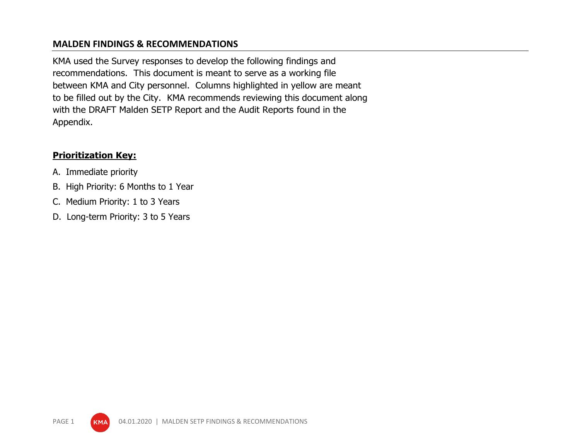## **MALDEN FINDINGS & RECOMMENDATIONS**

KMA used the Survey responses to develop the following findings and recommendations. This document is meant to serve as a working file between KMA and City personnel. Columns highlighted in yellow are meant to be filled out by the City. KMA recommends reviewing this document along with the DRAFT Malden SETP Report and the Audit Reports found in the Appendix.

## **Prioritization Key:**

- A. Immediate priority
- B. High Priority: 6 Months to 1 Year
- C. Medium Priority: 1 to 3 Years
- D. Long-term Priority: 3 to 5 Years

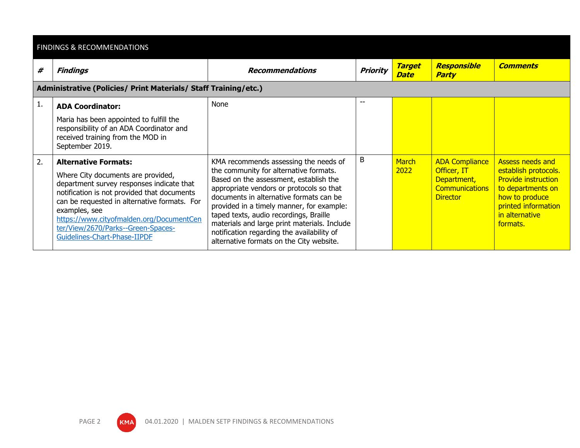|    | <b>FINDINGS &amp; RECOMMENDATIONS</b>                                                                                                                                                                                                                                                                                                            |                                                                                                                                                                                                                                                                                                                                                                                                                                                   |          |                       |                                                                                                 |                                                                                                                                                                           |  |  |
|----|--------------------------------------------------------------------------------------------------------------------------------------------------------------------------------------------------------------------------------------------------------------------------------------------------------------------------------------------------|---------------------------------------------------------------------------------------------------------------------------------------------------------------------------------------------------------------------------------------------------------------------------------------------------------------------------------------------------------------------------------------------------------------------------------------------------|----------|-----------------------|-------------------------------------------------------------------------------------------------|---------------------------------------------------------------------------------------------------------------------------------------------------------------------------|--|--|
| #  | <b>Findings</b>                                                                                                                                                                                                                                                                                                                                  | <b>Recommendations</b>                                                                                                                                                                                                                                                                                                                                                                                                                            | Priority | <b>Target</b><br>Date | Responsible<br><b>Party</b>                                                                     | <b>Comments</b>                                                                                                                                                           |  |  |
|    | Administrative (Policies/ Print Materials/ Staff Training/etc.)                                                                                                                                                                                                                                                                                  |                                                                                                                                                                                                                                                                                                                                                                                                                                                   |          |                       |                                                                                                 |                                                                                                                                                                           |  |  |
| 1. | <b>ADA Coordinator:</b><br>Maria has been appointed to fulfill the<br>responsibility of an ADA Coordinator and<br>received training from the MOD in<br>September 2019.                                                                                                                                                                           | None                                                                                                                                                                                                                                                                                                                                                                                                                                              | $- -$    |                       |                                                                                                 |                                                                                                                                                                           |  |  |
| 2. | <b>Alternative Formats:</b><br>Where City documents are provided,<br>department survey responses indicate that<br>notification is not provided that documents<br>can be requested in alternative formats. For<br>examples, see<br>https://www.cityofmalden.org/DocumentCen<br>ter/View/2670/Parks--Green-Spaces-<br>Guidelines-Chart-Phase-IIPDF | KMA recommends assessing the needs of<br>the community for alternative formats.<br>Based on the assessment, establish the<br>appropriate vendors or protocols so that<br>documents in alternative formats can be<br>provided in a timely manner, for example:<br>taped texts, audio recordings, Braille<br>materials and large print materials. Include<br>notification regarding the availability of<br>alternative formats on the City website. | В        | <b>March</b><br>2022  | <b>ADA Compliance</b><br>Officer, IT<br>Department,<br><b>Communications</b><br><b>Director</b> | <b>Assess needs and</b><br>establish protocols.<br><b>Provide instruction</b><br>to departments on<br>how to produce<br>printed information<br>in alternative<br>formats. |  |  |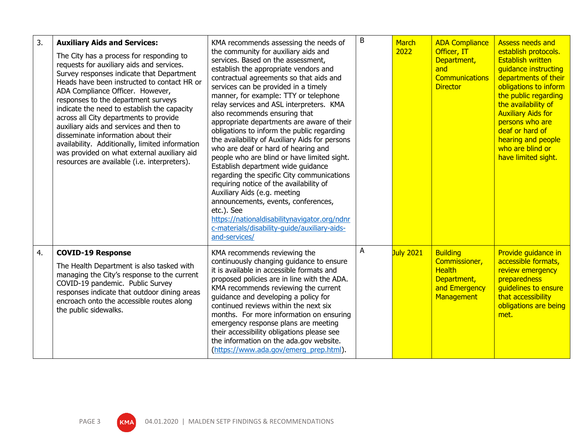| 3. | <b>Auxiliary Aids and Services:</b><br>The City has a process for responding to<br>requests for auxiliary aids and services.<br>Survey responses indicate that Department<br>Heads have been instructed to contact HR or<br>ADA Compliance Officer. However,<br>responses to the department surveys<br>indicate the need to establish the capacity<br>across all City departments to provide<br>auxiliary aids and services and then to<br>disseminate information about their<br>availability. Additionally, limited information<br>was provided on what external auxiliary aid<br>resources are available (i.e. interpreters). | KMA recommends assessing the needs of<br>the community for auxiliary aids and<br>services. Based on the assessment,<br>establish the appropriate vendors and<br>contractual agreements so that aids and<br>services can be provided in a timely<br>manner, for example: TTY or telephone<br>relay services and ASL interpreters. KMA<br>also recommends ensuring that<br>appropriate departments are aware of their<br>obligations to inform the public regarding<br>the availability of Auxiliary Aids for persons<br>who are deaf or hard of hearing and<br>people who are blind or have limited sight.<br>Establish department wide guidance<br>regarding the specific City communications<br>requiring notice of the availability of<br>Auxiliary Aids (e.g. meeting<br>announcements, events, conferences,<br>etc.). See<br>https://nationaldisabilitynavigator.org/ndnr<br>c-materials/disability-quide/auxiliary-aids-<br>and-services/ | B | <b>March</b><br>2022 | <b>ADA Compliance</b><br>Officer, IT<br>Department,<br>and<br><b>Communications</b><br><b>Director</b> | <b>Assess needs and</b><br>establish protocols.<br><b>Establish written</b><br>quidance instructing<br>departments of their<br>obligations to inform<br>the public regarding<br>the availability of<br><b>Auxiliary Aids for</b><br>persons who are<br>deaf or hard of<br>hearing and people<br>who are blind or<br>have limited sight. |
|----|----------------------------------------------------------------------------------------------------------------------------------------------------------------------------------------------------------------------------------------------------------------------------------------------------------------------------------------------------------------------------------------------------------------------------------------------------------------------------------------------------------------------------------------------------------------------------------------------------------------------------------|------------------------------------------------------------------------------------------------------------------------------------------------------------------------------------------------------------------------------------------------------------------------------------------------------------------------------------------------------------------------------------------------------------------------------------------------------------------------------------------------------------------------------------------------------------------------------------------------------------------------------------------------------------------------------------------------------------------------------------------------------------------------------------------------------------------------------------------------------------------------------------------------------------------------------------------------|---|----------------------|--------------------------------------------------------------------------------------------------------|-----------------------------------------------------------------------------------------------------------------------------------------------------------------------------------------------------------------------------------------------------------------------------------------------------------------------------------------|
| 4. | <b>COVID-19 Response</b><br>The Health Department is also tasked with<br>managing the City's response to the current<br>COVID-19 pandemic. Public Survey<br>responses indicate that outdoor dining areas<br>encroach onto the accessible routes along<br>the public sidewalks.                                                                                                                                                                                                                                                                                                                                                   | KMA recommends reviewing the<br>continuously changing guidance to ensure<br>it is available in accessible formats and<br>proposed policies are in line with the ADA.<br>KMA recommends reviewing the current<br>guidance and developing a policy for<br>continued reviews within the next six<br>months. For more information on ensuring<br>emergency response plans are meeting<br>their accessibility obligations please see<br>the information on the ada.gov website.<br>(https://www.ada.gov/emerg_prep.html).                                                                                                                                                                                                                                                                                                                                                                                                                           | A | July 2021            | <b>Building</b><br>Commissioner,<br><b>Health</b><br>Department,<br>and Emergency<br>Management        | Provide guidance in<br>accessible formats,<br>review emergency<br>preparedness<br>guidelines to ensure<br>that accessibility<br>obligations are being<br>met.                                                                                                                                                                           |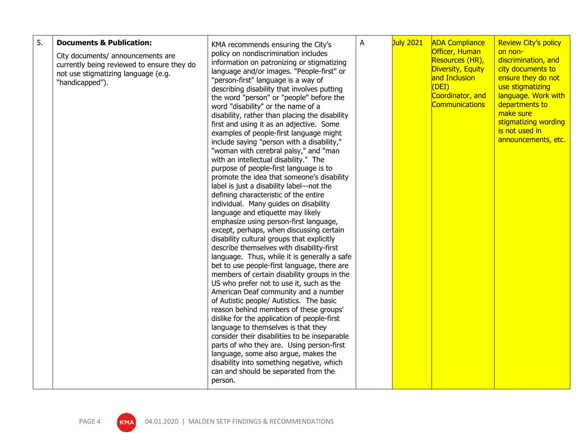| 5.<br><b>Documents &amp; Publication:</b><br>City documents/ announcements are<br>currently being reviewed to ensure they do<br>not use stigmatizing language (e.g.<br>"handicapped"). | KMA recommends ensuring the City's<br>policy on nondiscrimination includes<br>information on patronizing or stigmatizing<br>language and/or images. "People-first" or<br>"person-first" language is a way of<br>describing disability that involves putting<br>the word "person" or "people" before the<br>word "disability" or the name of a<br>disability, rather than placing the disability<br>first and using it as an adjective. Some<br>examples of people-first language might<br>include saying "person with a disability,"<br>"woman with cerebral palsy," and "man<br>with an intellectual disability." The<br>purpose of people-first language is to<br>promote the idea that someone's disability<br>label is just a disability label-not the<br>defining characteristic of the entire<br>individual. Many guides on disability<br>language and etiquette may likely<br>emphasize using person-first language,<br>except, perhaps, when discussing certain<br>disability cultural groups that explicitly<br>describe themselves with disability-first<br>language. Thus, while it is generally a safe<br>bet to use people-first language, there are<br>members of certain disability groups in the<br>US who prefer not to use it, such as the<br>American Deaf community and a number<br>of Autistic people/ Autistics. The basic<br>reason behind members of these groups'<br>dislike for the application of people-first<br>language to themselves is that they<br>consider their disabilities to be inseparable<br>parts of who they are. Using person-first<br>language, some also argue, makes the<br>disability into something negative, which<br>can and should be separated from the<br>person. | A | July 2021 | <b>ADA Compliance</b><br>Officer, Human<br>Resources (HR),<br>Diversity, Equity<br>and Inclusion<br>(DEI)<br>Coordinator, and<br><b>Communications</b> | <b>Review City's policy</b><br>on non-<br>discrimination, and<br>city documents to<br>ensure they do not<br>use stigmatizing<br>language. Work with<br>departments to<br>make sure<br>stigmatizing wording<br>is not used in<br>announcements, etc. |
|----------------------------------------------------------------------------------------------------------------------------------------------------------------------------------------|------------------------------------------------------------------------------------------------------------------------------------------------------------------------------------------------------------------------------------------------------------------------------------------------------------------------------------------------------------------------------------------------------------------------------------------------------------------------------------------------------------------------------------------------------------------------------------------------------------------------------------------------------------------------------------------------------------------------------------------------------------------------------------------------------------------------------------------------------------------------------------------------------------------------------------------------------------------------------------------------------------------------------------------------------------------------------------------------------------------------------------------------------------------------------------------------------------------------------------------------------------------------------------------------------------------------------------------------------------------------------------------------------------------------------------------------------------------------------------------------------------------------------------------------------------------------------------------------------------------------------------------------------------------------------------------------------------------------|---|-----------|--------------------------------------------------------------------------------------------------------------------------------------------------------|-----------------------------------------------------------------------------------------------------------------------------------------------------------------------------------------------------------------------------------------------------|
|----------------------------------------------------------------------------------------------------------------------------------------------------------------------------------------|------------------------------------------------------------------------------------------------------------------------------------------------------------------------------------------------------------------------------------------------------------------------------------------------------------------------------------------------------------------------------------------------------------------------------------------------------------------------------------------------------------------------------------------------------------------------------------------------------------------------------------------------------------------------------------------------------------------------------------------------------------------------------------------------------------------------------------------------------------------------------------------------------------------------------------------------------------------------------------------------------------------------------------------------------------------------------------------------------------------------------------------------------------------------------------------------------------------------------------------------------------------------------------------------------------------------------------------------------------------------------------------------------------------------------------------------------------------------------------------------------------------------------------------------------------------------------------------------------------------------------------------------------------------------------------------------------------------------|---|-----------|--------------------------------------------------------------------------------------------------------------------------------------------------------|-----------------------------------------------------------------------------------------------------------------------------------------------------------------------------------------------------------------------------------------------------|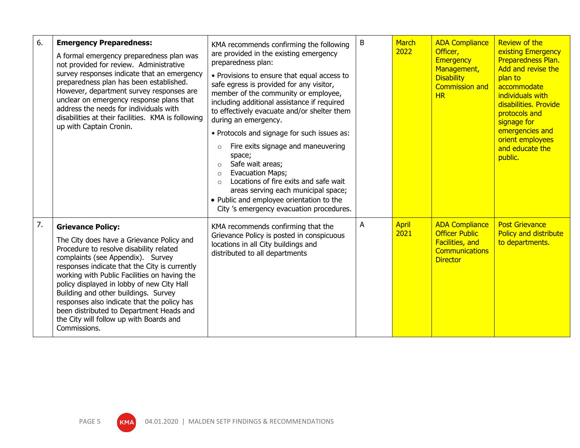| 6. | <b>Emergency Preparedness:</b><br>A formal emergency preparedness plan was<br>not provided for review. Administrative<br>survey responses indicate that an emergency<br>preparedness plan has been established.<br>However, department survey responses are<br>unclear on emergency response plans that<br>address the needs for individuals with<br>disabilities at their facilities. KMA is following<br>up with Captain Cronin.                                                                 | KMA recommends confirming the following<br>are provided in the existing emergency<br>preparedness plan:<br>• Provisions to ensure that equal access to<br>safe egress is provided for any visitor,<br>member of the community or employee,<br>including additional assistance if required<br>to effectively evacuate and/or shelter them<br>during an emergency.<br>• Protocols and signage for such issues as:<br>Fire exits signage and maneuvering<br>$\circ$<br>space;<br>Safe wait areas;<br>$\circ$<br>Evacuation Maps;<br>Locations of fire exits and safe wait<br>areas serving each municipal space;<br>• Public and employee orientation to the<br>City 's emergency evacuation procedures. | B | <b>March</b><br>2022 | <b>ADA Compliance</b><br>Officer,<br><b>Emergency</b><br>Management,<br><b>Disability</b><br><b>Commission and</b><br>HR | <b>Review of the</b><br>existing Emergency<br>Preparedness Plan.<br>Add and revise the<br>plan to<br>accommodate<br>individuals with<br>disabilities. Provide<br>protocols and<br>signage for<br>emergencies and<br>orient employees<br>and educate the<br>public. |
|----|----------------------------------------------------------------------------------------------------------------------------------------------------------------------------------------------------------------------------------------------------------------------------------------------------------------------------------------------------------------------------------------------------------------------------------------------------------------------------------------------------|-------------------------------------------------------------------------------------------------------------------------------------------------------------------------------------------------------------------------------------------------------------------------------------------------------------------------------------------------------------------------------------------------------------------------------------------------------------------------------------------------------------------------------------------------------------------------------------------------------------------------------------------------------------------------------------------------------|---|----------------------|--------------------------------------------------------------------------------------------------------------------------|--------------------------------------------------------------------------------------------------------------------------------------------------------------------------------------------------------------------------------------------------------------------|
| 7. | <b>Grievance Policy:</b><br>The City does have a Grievance Policy and<br>Procedure to resolve disability related<br>complaints (see Appendix). Survey<br>responses indicate that the City is currently<br>working with Public Facilities on having the<br>policy displayed in lobby of new City Hall<br>Building and other buildings. Survey<br>responses also indicate that the policy has<br>been distributed to Department Heads and<br>the City will follow up with Boards and<br>Commissions. | KMA recommends confirming that the<br>Grievance Policy is posted in conspicuous<br>locations in all City buildings and<br>distributed to all departments                                                                                                                                                                                                                                                                                                                                                                                                                                                                                                                                              | A | April<br>2021        | <b>ADA Compliance</b><br><b>Officer Public</b><br><b>Facilities, and</b><br><b>Communications</b><br><b>Director</b>     | <b>Post Grievance</b><br>Policy and distribute<br>to departments.                                                                                                                                                                                                  |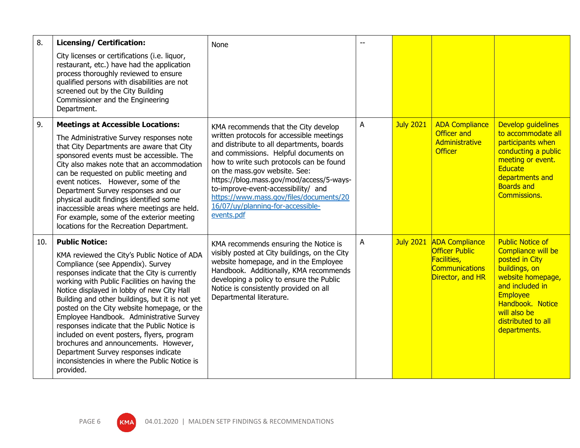| 8.  | <b>Licensing/ Certification:</b>                                                                                                                                                                                                                                                                                                                                                                                                                                                                                                                                                                                                                     | None                                                                                                                                                                                                                                                                                                                                                                                                                                  |   |                  |                                                                                                            |                                                                                                                                                                                                                |
|-----|------------------------------------------------------------------------------------------------------------------------------------------------------------------------------------------------------------------------------------------------------------------------------------------------------------------------------------------------------------------------------------------------------------------------------------------------------------------------------------------------------------------------------------------------------------------------------------------------------------------------------------------------------|---------------------------------------------------------------------------------------------------------------------------------------------------------------------------------------------------------------------------------------------------------------------------------------------------------------------------------------------------------------------------------------------------------------------------------------|---|------------------|------------------------------------------------------------------------------------------------------------|----------------------------------------------------------------------------------------------------------------------------------------------------------------------------------------------------------------|
|     | City licenses or certifications (i.e. liquor,<br>restaurant, etc.) have had the application<br>process thoroughly reviewed to ensure<br>qualified persons with disabilities are not<br>screened out by the City Building<br>Commissioner and the Engineering<br>Department.                                                                                                                                                                                                                                                                                                                                                                          |                                                                                                                                                                                                                                                                                                                                                                                                                                       |   |                  |                                                                                                            |                                                                                                                                                                                                                |
| 9.  | <b>Meetings at Accessible Locations:</b><br>The Administrative Survey responses note<br>that City Departments are aware that City<br>sponsored events must be accessible. The<br>City also makes note that an accommodation<br>can be requested on public meeting and<br>event notices. However, some of the<br>Department Survey responses and our<br>physical audit findings identified some<br>inaccessible areas where meetings are held.<br>For example, some of the exterior meeting                                                                                                                                                           | KMA recommends that the City develop<br>written protocols for accessible meetings<br>and distribute to all departments, boards<br>and commissions. Helpful documents on<br>how to write such protocols can be found<br>on the mass.gov website. See:<br>https://blog.mass.gov/mod/access/5-ways-<br>to-improve-event-accessibility/ and<br>https://www.mass.gov/files/documents/20<br>16/07/uy/planning-for-accessible-<br>events.pdf | A | <b>July 2021</b> | <b>ADA Compliance</b><br><b>Officer and</b><br>Administrative<br><b>Officer</b>                            | Develop quidelines<br>to accommodate all<br>participants when<br>conducting a public<br>meeting or event.<br><b>Educate</b><br>departments and<br><b>Boards and</b><br><b>Commissions.</b>                     |
|     | locations for the Recreation Department.                                                                                                                                                                                                                                                                                                                                                                                                                                                                                                                                                                                                             |                                                                                                                                                                                                                                                                                                                                                                                                                                       |   |                  |                                                                                                            |                                                                                                                                                                                                                |
| 10. | <b>Public Notice:</b><br>KMA reviewed the City's Public Notice of ADA<br>Compliance (see Appendix). Survey<br>responses indicate that the City is currently<br>working with Public Facilities on having the<br>Notice displayed in lobby of new City Hall<br>Building and other buildings, but it is not yet<br>posted on the City website homepage, or the<br>Employee Handbook. Administrative Survey<br>responses indicate that the Public Notice is<br>included on event posters, flyers, program<br>brochures and announcements. However,<br>Department Survey responses indicate<br>inconsistencies in where the Public Notice is<br>provided. | KMA recommends ensuring the Notice is<br>visibly posted at City buildings, on the City<br>website homepage, and in the Employee<br>Handbook. Additionally, KMA recommends<br>developing a policy to ensure the Public<br>Notice is consistently provided on all<br>Departmental literature.                                                                                                                                           | A | <b>July 2021</b> | <b>ADA Compliance</b><br><b>Officer Public</b><br>Facilities,<br><b>Communications</b><br>Director, and HR | <b>Public Notice of</b><br>Compliance will be<br>posted in City<br>buildings, on<br>website homepage,<br>and included in<br>Employee<br>Handbook. Notice<br>will also be<br>distributed to all<br>departments. |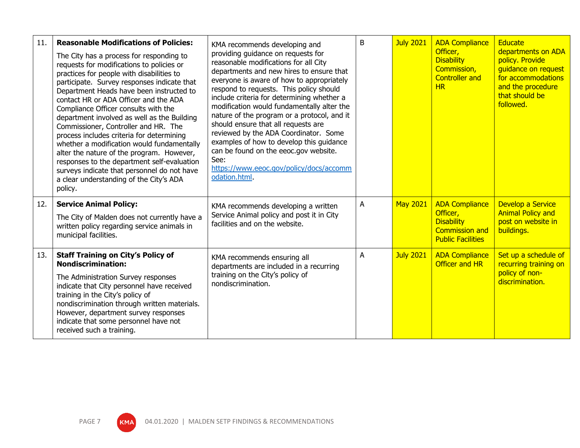| 11. | <b>Reasonable Modifications of Policies:</b><br>The City has a process for responding to<br>requests for modifications to policies or<br>practices for people with disabilities to<br>participate. Survey responses indicate that<br>Department Heads have been instructed to<br>contact HR or ADA Officer and the ADA<br>Compliance Officer consults with the<br>department involved as well as the Building<br>Commissioner, Controller and HR. The<br>process includes criteria for determining<br>whether a modification would fundamentally<br>alter the nature of the program. However,<br>responses to the department self-evaluation<br>surveys indicate that personnel do not have<br>a clear understanding of the City's ADA<br>policy. | KMA recommends developing and<br>providing guidance on requests for<br>reasonable modifications for all City<br>departments and new hires to ensure that<br>everyone is aware of how to appropriately<br>respond to requests. This policy should<br>include criteria for determining whether a<br>modification would fundamentally alter the<br>nature of the program or a protocol, and it<br>should ensure that all requests are<br>reviewed by the ADA Coordinator. Some<br>examples of how to develop this guidance<br>can be found on the eeoc.gov website.<br>See:<br>https://www.eeoc.gov/policy/docs/accomm<br>odation.html. | B | <b>July 2021</b> | <b>ADA Compliance</b><br>Officer,<br><b>Disability</b><br>Commission,<br><b>Controller and</b><br>HR        | Educate<br>departments on ADA<br>policy. Provide<br>guidance on request<br>for accommodations<br>and the procedure<br>that should be<br>followed. |
|-----|---------------------------------------------------------------------------------------------------------------------------------------------------------------------------------------------------------------------------------------------------------------------------------------------------------------------------------------------------------------------------------------------------------------------------------------------------------------------------------------------------------------------------------------------------------------------------------------------------------------------------------------------------------------------------------------------------------------------------------------------------|--------------------------------------------------------------------------------------------------------------------------------------------------------------------------------------------------------------------------------------------------------------------------------------------------------------------------------------------------------------------------------------------------------------------------------------------------------------------------------------------------------------------------------------------------------------------------------------------------------------------------------------|---|------------------|-------------------------------------------------------------------------------------------------------------|---------------------------------------------------------------------------------------------------------------------------------------------------|
| 12. | <b>Service Animal Policy:</b><br>The City of Malden does not currently have a<br>written policy regarding service animals in<br>municipal facilities.                                                                                                                                                                                                                                                                                                                                                                                                                                                                                                                                                                                             | KMA recommends developing a written<br>Service Animal policy and post it in City<br>facilities and on the website.                                                                                                                                                                                                                                                                                                                                                                                                                                                                                                                   | A | <b>May 2021</b>  | <b>ADA Compliance</b><br>Officer,<br><b>Disability</b><br><b>Commission and</b><br><b>Public Facilities</b> | Develop a Service<br><b>Animal Policy and</b><br>post on website in<br>buildings.                                                                 |
| 13. | <b>Staff Training on City's Policy of</b><br><b>Nondiscrimination:</b><br>The Administration Survey responses<br>indicate that City personnel have received<br>training in the City's policy of<br>nondiscrimination through written materials.<br>However, department survey responses<br>indicate that some personnel have not<br>received such a training.                                                                                                                                                                                                                                                                                                                                                                                     | KMA recommends ensuring all<br>departments are included in a recurring<br>training on the City's policy of<br>nondiscrimination.                                                                                                                                                                                                                                                                                                                                                                                                                                                                                                     | A | <b>July 2021</b> | <b>ADA Compliance</b><br><b>Officer and HR</b>                                                              | Set up a schedule of<br>recurring training on<br>policy of non-<br>discrimination.                                                                |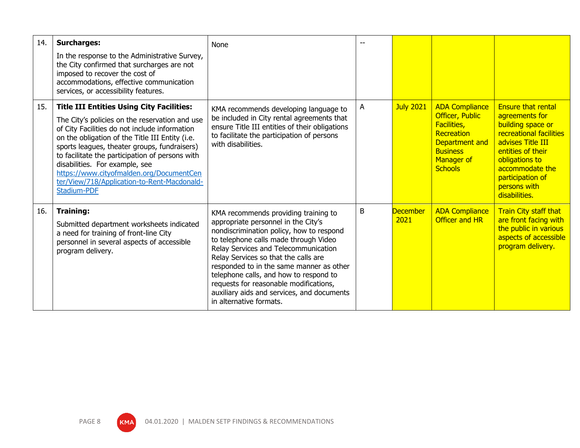| 14. | <b>Surcharges:</b><br>In the response to the Administrative Survey,<br>the City confirmed that surcharges are not<br>imposed to recover the cost of<br>accommodations, effective communication<br>services, or accessibility features.                                                                                                                                                                                                                       | None                                                                                                                                                                                                                                                                                                                                                                                                                                                      |   |                         |                                                                                                                                                          |                                                                                                                                                                                                                                 |
|-----|--------------------------------------------------------------------------------------------------------------------------------------------------------------------------------------------------------------------------------------------------------------------------------------------------------------------------------------------------------------------------------------------------------------------------------------------------------------|-----------------------------------------------------------------------------------------------------------------------------------------------------------------------------------------------------------------------------------------------------------------------------------------------------------------------------------------------------------------------------------------------------------------------------------------------------------|---|-------------------------|----------------------------------------------------------------------------------------------------------------------------------------------------------|---------------------------------------------------------------------------------------------------------------------------------------------------------------------------------------------------------------------------------|
| 15. | <b>Title III Entities Using City Facilities:</b><br>The City's policies on the reservation and use<br>of City Facilities do not include information<br>on the obligation of the Title III Entity (i.e.<br>sports leagues, theater groups, fundraisers)<br>to facilitate the participation of persons with<br>disabilities. For example, see<br>https://www.cityofmalden.org/DocumentCen<br>ter/View/718/Application-to-Rent-Macdonald-<br><b>Stadium-PDF</b> | KMA recommends developing language to<br>be included in City rental agreements that<br>ensure Title III entities of their obligations<br>to facilitate the participation of persons<br>with disabilities.                                                                                                                                                                                                                                                 | A | <b>July 2021</b>        | <b>ADA Compliance</b><br><b>Officer, Public</b><br><b>Facilities,</b><br>Recreation<br>Department and<br><b>Business</b><br>Manager of<br><b>Schools</b> | <b>Ensure that rental</b><br>agreements for<br>building space or<br>recreational facilities<br>advises Title III<br>entities of their<br>obligations to<br>accommodate the<br>participation of<br>persons with<br>disabilities. |
| 16. | <b>Training:</b><br>Submitted department worksheets indicated<br>a need for training of front-line City<br>personnel in several aspects of accessible<br>program delivery.                                                                                                                                                                                                                                                                                   | KMA recommends providing training to<br>appropriate personnel in the City's<br>nondiscrimination policy, how to respond<br>to telephone calls made through Video<br>Relay Services and Telecommunication<br>Relay Services so that the calls are<br>responded to in the same manner as other<br>telephone calls, and how to respond to<br>requests for reasonable modifications,<br>auxiliary aids and services, and documents<br>in alternative formats. | B | <b>December</b><br>2021 | <b>ADA Compliance</b><br><b>Officer and HR</b>                                                                                                           | <b>Train City staff that</b><br>are front facing with<br>the public in various<br>aspects of accessible<br>program delivery.                                                                                                    |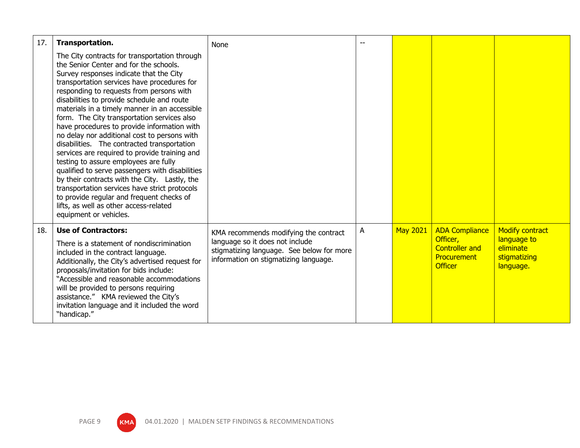| 17. | Transportation.                                                                                                                                                                                                                                                                                                                                                                                                                                                                                                                                                                                                                                                                                                                                                                                                                                                                           | None                                                                                                                  |   |                 |                                                                    |                                                       |
|-----|-------------------------------------------------------------------------------------------------------------------------------------------------------------------------------------------------------------------------------------------------------------------------------------------------------------------------------------------------------------------------------------------------------------------------------------------------------------------------------------------------------------------------------------------------------------------------------------------------------------------------------------------------------------------------------------------------------------------------------------------------------------------------------------------------------------------------------------------------------------------------------------------|-----------------------------------------------------------------------------------------------------------------------|---|-----------------|--------------------------------------------------------------------|-------------------------------------------------------|
|     | The City contracts for transportation through<br>the Senior Center and for the schools.<br>Survey responses indicate that the City<br>transportation services have procedures for<br>responding to requests from persons with<br>disabilities to provide schedule and route<br>materials in a timely manner in an accessible<br>form. The City transportation services also<br>have procedures to provide information with<br>no delay nor additional cost to persons with<br>disabilities. The contracted transportation<br>services are required to provide training and<br>testing to assure employees are fully<br>qualified to serve passengers with disabilities<br>by their contracts with the City. Lastly, the<br>transportation services have strict protocols<br>to provide regular and frequent checks of<br>lifts, as well as other access-related<br>equipment or vehicles. |                                                                                                                       |   |                 |                                                                    |                                                       |
| 18. | <b>Use of Contractors:</b>                                                                                                                                                                                                                                                                                                                                                                                                                                                                                                                                                                                                                                                                                                                                                                                                                                                                | KMA recommends modifying the contract                                                                                 | A | <b>May 2021</b> | <b>ADA Compliance</b>                                              | <b>Modify contract</b>                                |
|     | There is a statement of nondiscrimination<br>included in the contract language.<br>Additionally, the City's advertised request for<br>proposals/invitation for bids include:<br>"Accessible and reasonable accommodations<br>will be provided to persons requiring<br>assistance." KMA reviewed the City's<br>invitation language and it included the word<br>"handicap."                                                                                                                                                                                                                                                                                                                                                                                                                                                                                                                 | language so it does not include<br>stigmatizing language. See below for more<br>information on stigmatizing language. |   |                 | Officer,<br><b>Controller and</b><br>Procurement<br><b>Officer</b> | language to<br>eliminate<br>stigmatizing<br>language. |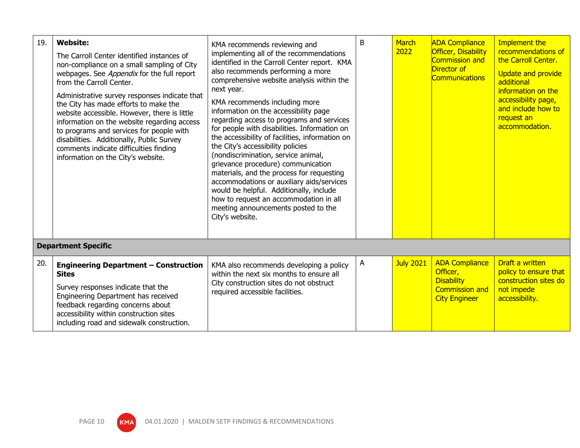| 19. | <b>Website:</b><br>The Carroll Center identified instances of<br>non-compliance on a small sampling of City<br>webpages. See Appendix for the full report<br>from the Carroll Center.<br>Administrative survey responses indicate that<br>the City has made efforts to make the<br>website accessible. However, there is little<br>information on the website regarding access<br>to programs and services for people with<br>disabilities. Additionally, Public Survey<br>comments indicate difficulties finding<br>information on the City's website. | KMA recommends reviewing and<br>implementing all of the recommendations<br>identified in the Carroll Center report. KMA<br>also recommends performing a more<br>comprehensive website analysis within the<br>next year.<br>KMA recommends including more<br>information on the accessibility page<br>regarding access to programs and services<br>for people with disabilities. Information on<br>the accessibility of facilities, information on<br>the City's accessibility policies<br>(nondiscrimination, service animal,<br>grievance procedure) communication<br>materials, and the process for requesting<br>accommodations or auxiliary aids/services<br>would be helpful. Additionally, include<br>how to request an accommodation in all<br>meeting announcements posted to the<br>City's website. | B | <b>March</b><br>2022 | <b>ADA Compliance</b><br>Officer, Disability<br><b>Commission and</b><br>Director of<br><b>Communications</b> | Implement the<br>recommendations of<br>the Carroll Center.<br><b>Update and provide</b><br>additional<br>information on the<br>accessibility page,<br>and include how to<br>request an<br>accommodation. |
|-----|---------------------------------------------------------------------------------------------------------------------------------------------------------------------------------------------------------------------------------------------------------------------------------------------------------------------------------------------------------------------------------------------------------------------------------------------------------------------------------------------------------------------------------------------------------|--------------------------------------------------------------------------------------------------------------------------------------------------------------------------------------------------------------------------------------------------------------------------------------------------------------------------------------------------------------------------------------------------------------------------------------------------------------------------------------------------------------------------------------------------------------------------------------------------------------------------------------------------------------------------------------------------------------------------------------------------------------------------------------------------------------|---|----------------------|---------------------------------------------------------------------------------------------------------------|----------------------------------------------------------------------------------------------------------------------------------------------------------------------------------------------------------|
|     | <b>Department Specific</b>                                                                                                                                                                                                                                                                                                                                                                                                                                                                                                                              |                                                                                                                                                                                                                                                                                                                                                                                                                                                                                                                                                                                                                                                                                                                                                                                                              |   |                      |                                                                                                               |                                                                                                                                                                                                          |
| 20. | <b>Engineering Department - Construction</b><br><b>Sites</b><br>Survey responses indicate that the<br>Engineering Department has received<br>feedback regarding concerns about<br>accessibility within construction sites<br>including road and sidewalk construction.                                                                                                                                                                                                                                                                                  | KMA also recommends developing a policy<br>within the next six months to ensure all<br>City construction sites do not obstruct<br>required accessible facilities.                                                                                                                                                                                                                                                                                                                                                                                                                                                                                                                                                                                                                                            | A | <b>July 2021</b>     | <b>ADA Compliance</b><br>Officer,<br><b>Disability</b><br><b>Commission and</b><br><b>City Engineer</b>       | Draft a written<br>policy to ensure that<br>construction sites do<br>not impede<br>accessibility.                                                                                                        |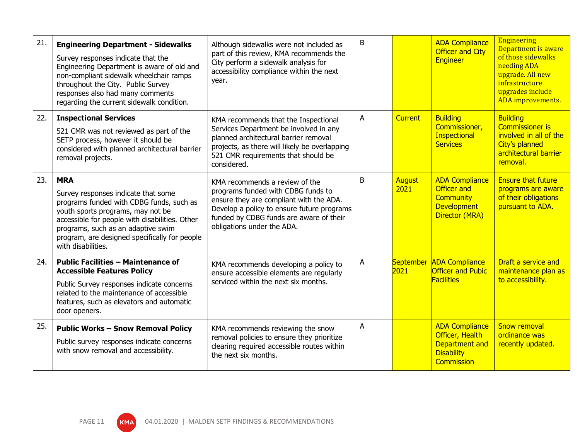| 21. | <b>Engineering Department - Sidewalks</b><br>Survey responses indicate that the<br>Engineering Department is aware of old and<br>non-compliant sidewalk wheelchair ramps<br>throughout the City. Public Survey<br>responses also had many comments<br>regarding the current sidewalk condition.   | Although sidewalks were not included as<br>part of this review, KMA recommends the<br>City perform a sidewalk analysis for<br>accessibility compliance within the next<br>year.                                                        | B |                       | <b>ADA Compliance</b><br><b>Officer and City</b><br>Engineer                                            | <b>Engineering</b><br>Department is aware<br>of those sidewalks<br>needing ADA<br>upgrade. All new<br>infrastructure<br>upgrades include<br>ADA improvements. |
|-----|---------------------------------------------------------------------------------------------------------------------------------------------------------------------------------------------------------------------------------------------------------------------------------------------------|----------------------------------------------------------------------------------------------------------------------------------------------------------------------------------------------------------------------------------------|---|-----------------------|---------------------------------------------------------------------------------------------------------|---------------------------------------------------------------------------------------------------------------------------------------------------------------|
| 22. | <b>Inspectional Services</b><br>521 CMR was not reviewed as part of the<br>SETP process, however it should be<br>considered with planned architectural barrier<br>removal projects.                                                                                                               | KMA recommends that the Inspectional<br>Services Department be involved in any<br>planned architectural barrier removal<br>projects, as there will likely be overlapping<br>521 CMR requirements that should be<br>considered.         | A | <b>Current</b>        | <b>Building</b><br>Commissioner,<br>Inspectional<br><b>Services</b>                                     | <b>Building</b><br><b>Commissioner is</b><br>involved in all of the<br>City's planned<br>architectural barrier<br>removal.                                    |
| 23. | <b>MRA</b><br>Survey responses indicate that some<br>programs funded with CDBG funds, such as<br>youth sports programs, may not be<br>accessible for people with disabilities. Other<br>programs, such as an adaptive swim<br>program, are designed specifically for people<br>with disabilities. | KMA recommends a review of the<br>programs funded with CDBG funds to<br>ensure they are compliant with the ADA.<br>Develop a policy to ensure future programs<br>funded by CDBG funds are aware of their<br>obligations under the ADA. | B | <b>August</b><br>2021 | <b>ADA Compliance</b><br><b>Officer and</b><br><b>Community</b><br><b>Development</b><br>Director (MRA) | <b>Ensure that future</b><br>programs are aware<br>of their obligations<br>pursuant to ADA.                                                                   |
| 24. | <b>Public Facilities - Maintenance of</b><br><b>Accessible Features Policy</b><br>Public Survey responses indicate concerns<br>related to the maintenance of accessible<br>features, such as elevators and automatic<br>door openers.                                                             | KMA recommends developing a policy to<br>ensure accessible elements are regularly<br>serviced within the next six months.                                                                                                              | A | September<br>2021     | <b>ADA Compliance</b><br><b>Officer and Pubic</b><br><b>Facilities</b>                                  | Draft a service and<br>maintenance plan as<br>to accessibility.                                                                                               |
| 25. | <b>Public Works - Snow Removal Policy</b><br>Public survey responses indicate concerns<br>with snow removal and accessibility.                                                                                                                                                                    | KMA recommends reviewing the snow<br>removal policies to ensure they prioritize<br>clearing required accessible routes within<br>the next six months.                                                                                  | A |                       | <b>ADA Compliance</b><br>Officer, Health<br>Department and<br><b>Disability</b><br><b>Commission</b>    | <b>Snow removal</b><br>ordinance was<br>recently updated.                                                                                                     |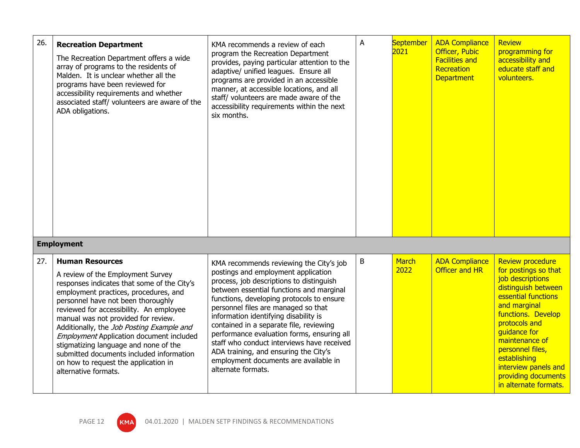| 26. | <b>Recreation Department</b><br>The Recreation Department offers a wide<br>array of programs to the residents of<br>Malden. It is unclear whether all the<br>programs have been reviewed for<br>accessibility requirements and whether<br>associated staff/ volunteers are aware of the<br>ADA obligations.                                                                                                                                                                                                                      | KMA recommends a review of each<br>program the Recreation Department<br>provides, paying particular attention to the<br>adaptive/ unified leagues. Ensure all<br>programs are provided in an accessible<br>manner, at accessible locations, and all<br>staff/ volunteers are made aware of the<br>accessibility requirements within the next<br>six months.                                                                                                                                                                                        | A | September<br>2021    | <b>ADA Compliance</b><br><b>Officer, Pubic</b><br><b>Facilities and</b><br>Recreation<br><b>Department</b> | Review<br>programming for<br>accessibility and<br>educate staff and<br>volunteers.                                                                                                                                                                                                                                     |
|-----|----------------------------------------------------------------------------------------------------------------------------------------------------------------------------------------------------------------------------------------------------------------------------------------------------------------------------------------------------------------------------------------------------------------------------------------------------------------------------------------------------------------------------------|----------------------------------------------------------------------------------------------------------------------------------------------------------------------------------------------------------------------------------------------------------------------------------------------------------------------------------------------------------------------------------------------------------------------------------------------------------------------------------------------------------------------------------------------------|---|----------------------|------------------------------------------------------------------------------------------------------------|------------------------------------------------------------------------------------------------------------------------------------------------------------------------------------------------------------------------------------------------------------------------------------------------------------------------|
|     | <b>Employment</b>                                                                                                                                                                                                                                                                                                                                                                                                                                                                                                                |                                                                                                                                                                                                                                                                                                                                                                                                                                                                                                                                                    |   |                      |                                                                                                            |                                                                                                                                                                                                                                                                                                                        |
| 27. | <b>Human Resources</b><br>A review of the Employment Survey<br>responses indicates that some of the City's<br>employment practices, procedures, and<br>personnel have not been thoroughly<br>reviewed for accessibility. An employee<br>manual was not provided for review.<br>Additionally, the Job Posting Example and<br><b>Employment Application document included</b><br>stigmatizing language and none of the<br>submitted documents included information<br>on how to request the application in<br>alternative formats. | KMA recommends reviewing the City's job<br>postings and employment application<br>process, job descriptions to distinguish<br>between essential functions and marginal<br>functions, developing protocols to ensure<br>personnel files are managed so that<br>information identifying disability is<br>contained in a separate file, reviewing<br>performance evaluation forms, ensuring all<br>staff who conduct interviews have received<br>ADA training, and ensuring the City's<br>employment documents are available in<br>alternate formats. | B | <b>March</b><br>2022 | <b>ADA Compliance</b><br>Officer and HR                                                                    | <b>Review procedure</b><br>for postings so that<br>job descriptions<br>distinguish between<br>essential functions<br>and marginal<br>functions. Develop<br>protocols and<br>quidance for<br>maintenance of<br>personnel files,<br>establishing<br>interview panels and<br>providing documents<br>in alternate formats. |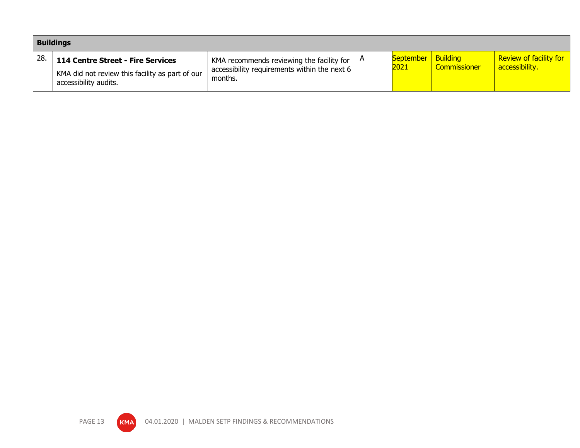|     | <b>Buildings</b>                                                                                                     |                                                                                                                             |  |                                   |                     |                                                 |  |  |
|-----|----------------------------------------------------------------------------------------------------------------------|-----------------------------------------------------------------------------------------------------------------------------|--|-----------------------------------|---------------------|-------------------------------------------------|--|--|
| 28. | <b>114 Centre Street - Fire Services</b><br>KMA did not review this facility as part of our<br>accessibility audits. | KMA recommends reviewing the facility for $\vert A \vert$<br>accessibility requirements within the next $6 \mid$<br>months. |  | <b>September Building</b><br>2021 | <b>Commissioner</b> | <b>Review of facility for</b><br>accessibility. |  |  |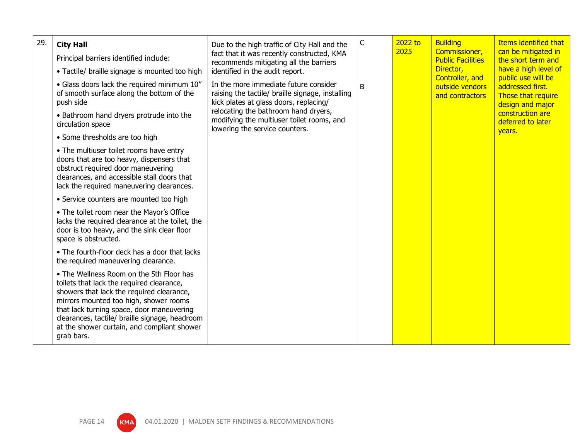| 29. | <b>City Hall</b>                                                                                                                                                                                                                                                                                                                         | Due to the high traffic of City Hall and the                                                                                        | $\mathsf C$                    | 2022 to<br>2025 | <b>Building</b>                           | <b>Items identified that</b>                                                                                                                                                                             |
|-----|------------------------------------------------------------------------------------------------------------------------------------------------------------------------------------------------------------------------------------------------------------------------------------------------------------------------------------------|-------------------------------------------------------------------------------------------------------------------------------------|--------------------------------|-----------------|-------------------------------------------|----------------------------------------------------------------------------------------------------------------------------------------------------------------------------------------------------------|
|     | Principal barriers identified include:                                                                                                                                                                                                                                                                                                   | fact that it was recently constructed, KMA<br>recommends mitigating all the barriers<br>identified in the audit report.             |                                |                 | Commissioner,<br><b>Public Facilities</b> | can be mitigated in<br>the short term and<br>have a high level of<br>public use will be<br>addressed first.<br>Those that require<br>design and major<br>construction are<br>deferred to later<br>years. |
|     | • Tactile/ braille signage is mounted too high                                                                                                                                                                                                                                                                                           |                                                                                                                                     |                                |                 | Director,<br>Controller, and              |                                                                                                                                                                                                          |
|     | • Glass doors lack the required minimum 10"<br>of smooth surface along the bottom of the<br>push side                                                                                                                                                                                                                                    | In the more immediate future consider<br>raising the tactile/ braille signage, installing<br>kick plates at glass doors, replacing/ | B                              |                 | outside vendors<br>and contractors        |                                                                                                                                                                                                          |
|     | • Bathroom hand dryers protrude into the<br>circulation space                                                                                                                                                                                                                                                                            | relocating the bathroom hand dryers,<br>modifying the multiuser toilet rooms, and                                                   | lowering the service counters. |                 |                                           |                                                                                                                                                                                                          |
|     | • Some thresholds are too high                                                                                                                                                                                                                                                                                                           |                                                                                                                                     |                                |                 |                                           |                                                                                                                                                                                                          |
|     | • The multiuser toilet rooms have entry<br>doors that are too heavy, dispensers that<br>obstruct required door maneuvering<br>clearances, and accessible stall doors that<br>lack the required maneuvering clearances.                                                                                                                   |                                                                                                                                     |                                |                 |                                           |                                                                                                                                                                                                          |
|     | • Service counters are mounted too high                                                                                                                                                                                                                                                                                                  |                                                                                                                                     |                                |                 |                                           |                                                                                                                                                                                                          |
|     | • The toilet room near the Mayor's Office<br>lacks the required clearance at the toilet, the<br>door is too heavy, and the sink clear floor<br>space is obstructed.                                                                                                                                                                      |                                                                                                                                     |                                |                 |                                           |                                                                                                                                                                                                          |
|     | • The fourth-floor deck has a door that lacks<br>the required maneuvering clearance.                                                                                                                                                                                                                                                     |                                                                                                                                     |                                |                 |                                           |                                                                                                                                                                                                          |
|     | • The Wellness Room on the 5th Floor has<br>toilets that lack the required clearance,<br>showers that lack the required clearance,<br>mirrors mounted too high, shower rooms<br>that lack turning space, door maneuvering<br>clearances, tactile/ braille signage, headroom<br>at the shower curtain, and compliant shower<br>grab bars. |                                                                                                                                     |                                |                 |                                           |                                                                                                                                                                                                          |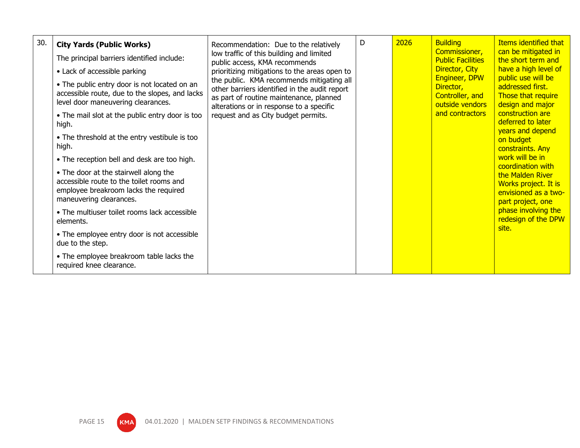| 30. | <b>City Yards (Public Works)</b><br>The principal barriers identified include:<br>• Lack of accessible parking<br>• The public entry door is not located on an<br>accessible route, due to the slopes, and lacks<br>level door maneuvering clearances.<br>• The mail slot at the public entry door is too<br>high.<br>• The threshold at the entry vestibule is too<br>high.<br>• The reception bell and desk are too high.<br>• The door at the stairwell along the<br>accessible route to the toilet rooms and<br>employee breakroom lacks the required<br>maneuvering clearances.<br>• The multiuser toilet rooms lack accessible<br>elements.<br>• The employee entry door is not accessible<br>due to the step.<br>• The employee breakroom table lacks the<br>required knee clearance. | Recommendation: Due to the relatively<br>low traffic of this building and limited<br>public access, KMA recommends<br>prioritizing mitigations to the areas open to<br>the public. KMA recommends mitigating all<br>other barriers identified in the audit report<br>as part of routine maintenance, planned<br>alterations or in response to a specific<br>request and as City budget permits. | D | 2026 | <b>Building</b><br>Commissioner,<br><b>Public Facilities</b><br>Director, City<br>Engineer, DPW<br>Director,<br>Controller, and<br>outside vendors<br>and contractors | <b>Items identified that</b><br>can be mitigated in<br>the short term and<br>have a high level of<br>public use will be<br>addressed first.<br>Those that require<br>design and major<br>construction are<br>deferred to later<br>years and depend<br>on budget<br>constraints. Any<br>work will be in<br>coordination with<br>the Malden River<br>Works project. It is<br>envisioned as a two-<br>part project, one<br>phase involving the<br>redesign of the DPW<br>site. |
|-----|----------------------------------------------------------------------------------------------------------------------------------------------------------------------------------------------------------------------------------------------------------------------------------------------------------------------------------------------------------------------------------------------------------------------------------------------------------------------------------------------------------------------------------------------------------------------------------------------------------------------------------------------------------------------------------------------------------------------------------------------------------------------------------------------|-------------------------------------------------------------------------------------------------------------------------------------------------------------------------------------------------------------------------------------------------------------------------------------------------------------------------------------------------------------------------------------------------|---|------|-----------------------------------------------------------------------------------------------------------------------------------------------------------------------|-----------------------------------------------------------------------------------------------------------------------------------------------------------------------------------------------------------------------------------------------------------------------------------------------------------------------------------------------------------------------------------------------------------------------------------------------------------------------------|
|-----|----------------------------------------------------------------------------------------------------------------------------------------------------------------------------------------------------------------------------------------------------------------------------------------------------------------------------------------------------------------------------------------------------------------------------------------------------------------------------------------------------------------------------------------------------------------------------------------------------------------------------------------------------------------------------------------------------------------------------------------------------------------------------------------------|-------------------------------------------------------------------------------------------------------------------------------------------------------------------------------------------------------------------------------------------------------------------------------------------------------------------------------------------------------------------------------------------------|---|------|-----------------------------------------------------------------------------------------------------------------------------------------------------------------------|-----------------------------------------------------------------------------------------------------------------------------------------------------------------------------------------------------------------------------------------------------------------------------------------------------------------------------------------------------------------------------------------------------------------------------------------------------------------------------|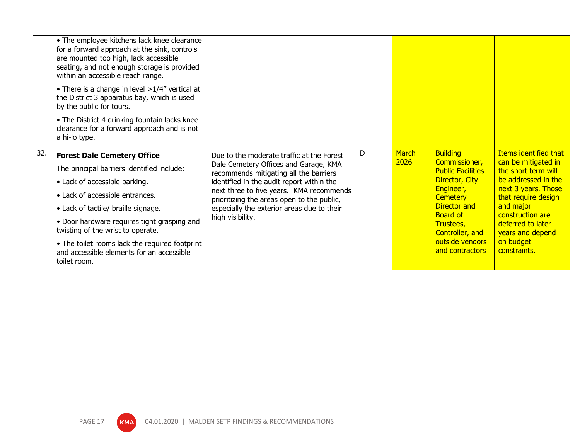|     | • The employee kitchens lack knee clearance<br>for a forward approach at the sink, controls<br>are mounted too high, lack accessible<br>seating, and not enough storage is provided<br>within an accessible reach range.<br>• There is a change in level $>1/4$ " vertical at<br>the District 3 apparatus bay, which is used<br>by the public for tours.<br>• The District 4 drinking fountain lacks knee<br>clearance for a forward approach and is not<br>a hi-lo type. |                                                                                        |   |               |                                  |                                                     |
|-----|---------------------------------------------------------------------------------------------------------------------------------------------------------------------------------------------------------------------------------------------------------------------------------------------------------------------------------------------------------------------------------------------------------------------------------------------------------------------------|----------------------------------------------------------------------------------------|---|---------------|----------------------------------|-----------------------------------------------------|
| 32. | <b>Forest Dale Cemetery Office</b>                                                                                                                                                                                                                                                                                                                                                                                                                                        | Due to the moderate traffic at the Forest                                              | D | March<br>2026 | <b>Building</b><br>Commissioner, | <b>Items identified that</b><br>can be mitigated in |
|     | The principal barriers identified include:                                                                                                                                                                                                                                                                                                                                                                                                                                | Dale Cemetery Offices and Garage, KMA<br>recommends mitigating all the barriers        |   |               | <b>Public Facilities</b>         | the short term will                                 |
|     | • Lack of accessible parking.                                                                                                                                                                                                                                                                                                                                                                                                                                             | identified in the audit report within the                                              |   |               | Director, City<br>Engineer,      | be addressed in the<br>next 3 years. Those          |
|     | • Lack of accessible entrances.                                                                                                                                                                                                                                                                                                                                                                                                                                           | next three to five years. KMA recommends<br>prioritizing the areas open to the public, |   |               | <b>Cemetery</b>                  | that require design                                 |
|     | • Lack of tactile/ braille signage.                                                                                                                                                                                                                                                                                                                                                                                                                                       | especially the exterior areas due to their                                             |   |               | Director and<br><b>Board of</b>  | and major<br>construction are                       |
|     | • Door hardware requires tight grasping and<br>twisting of the wrist to operate.                                                                                                                                                                                                                                                                                                                                                                                          | high visibility.                                                                       |   |               | Trustees,<br>Controller, and     | deferred to later<br>years and depend               |
|     | • The toilet rooms lack the required footprint                                                                                                                                                                                                                                                                                                                                                                                                                            |                                                                                        |   |               | outside vendors                  | on budget                                           |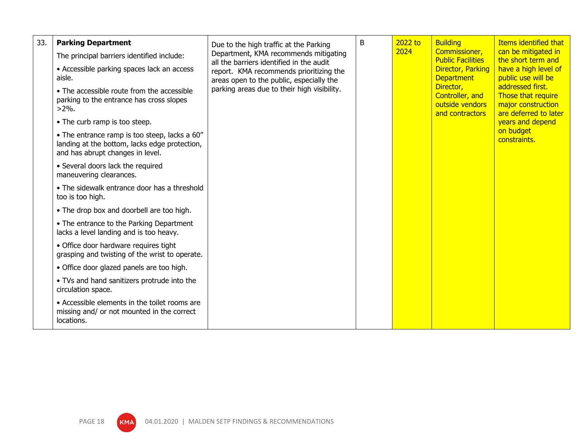| 33. | <b>Parking Department</b>                                                                                                          | Due to the high traffic at the Parking                                                                                                                                                                                  | B | 2022 to                                         | <b>Building</b>                                                                     | <b>Items identified that</b>                  |                 |
|-----|------------------------------------------------------------------------------------------------------------------------------------|-------------------------------------------------------------------------------------------------------------------------------------------------------------------------------------------------------------------------|---|-------------------------------------------------|-------------------------------------------------------------------------------------|-----------------------------------------------|-----------------|
|     | The principal barriers identified include:                                                                                         | Department, KMA recommends mitigating<br>all the barriers identified in the audit<br>report. KMA recommends prioritizing the<br>areas open to the public, especially the<br>parking areas due to their high visibility. |   | 2024                                            | Commissioner,<br><b>Public Facilities</b><br>Director, Parking<br><b>Department</b> | can be mitigated in<br>the short term and     |                 |
|     | • Accessible parking spaces lack an access<br>aisle.                                                                               |                                                                                                                                                                                                                         |   |                                                 |                                                                                     | have a high level of<br>public use will be    |                 |
|     | • The accessible route from the accessible<br>parking to the entrance has cross slopes<br>$>2\%$ .                                 |                                                                                                                                                                                                                         |   | Director,<br>Controller, and<br>outside vendors |                                                                                     |                                               | and contractors |
|     | • The curb ramp is too steep.                                                                                                      |                                                                                                                                                                                                                         |   |                                                 |                                                                                     | years and depend<br>on budget<br>constraints. |                 |
|     | • The entrance ramp is too steep, lacks a 60"<br>landing at the bottom, lacks edge protection,<br>and has abrupt changes in level. |                                                                                                                                                                                                                         |   |                                                 |                                                                                     |                                               |                 |
|     | • Several doors lack the required<br>maneuvering clearances.                                                                       |                                                                                                                                                                                                                         |   |                                                 |                                                                                     |                                               |                 |
|     | • The sidewalk entrance door has a threshold<br>too is too high.                                                                   |                                                                                                                                                                                                                         |   |                                                 |                                                                                     |                                               |                 |
|     | • The drop box and doorbell are too high.                                                                                          |                                                                                                                                                                                                                         |   |                                                 |                                                                                     |                                               |                 |
|     | • The entrance to the Parking Department<br>lacks a level landing and is too heavy.                                                |                                                                                                                                                                                                                         |   |                                                 |                                                                                     |                                               |                 |
|     | • Office door hardware requires tight<br>grasping and twisting of the wrist to operate.                                            |                                                                                                                                                                                                                         |   |                                                 |                                                                                     |                                               |                 |
|     | • Office door glazed panels are too high.                                                                                          |                                                                                                                                                                                                                         |   |                                                 |                                                                                     |                                               |                 |
|     | • TVs and hand sanitizers protrude into the<br>circulation space.                                                                  |                                                                                                                                                                                                                         |   |                                                 |                                                                                     |                                               |                 |
|     | • Accessible elements in the toilet rooms are<br>missing and/ or not mounted in the correct<br>locations.                          |                                                                                                                                                                                                                         |   |                                                 |                                                                                     |                                               |                 |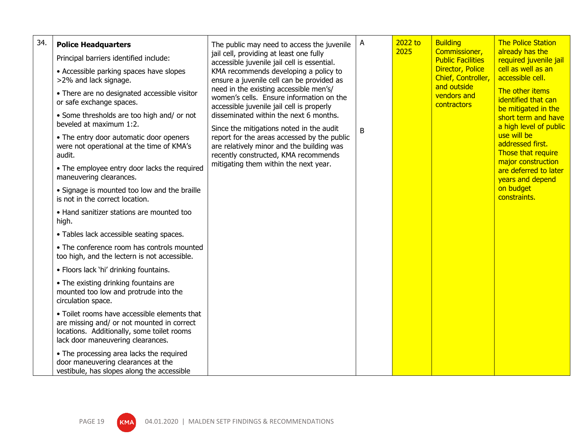| 34. | <b>Police Headquarters</b><br>Principal barriers identified include:<br>• Accessible parking spaces have slopes<br>>2% and lack signage.<br>• There are no designated accessible visitor<br>or safe exchange spaces.<br>• Some thresholds are too high and/ or not<br>beveled at maximum 1:2.<br>• The entry door automatic door openers<br>were not operational at the time of KMA's<br>audit.<br>• The employee entry door lacks the required<br>maneuvering clearances.<br>• Signage is mounted too low and the braille<br>is not in the correct location.<br>• Hand sanitizer stations are mounted too<br>high.<br>• Tables lack accessible seating spaces.<br>• The conference room has controls mounted<br>too high, and the lectern is not accessible.<br>· Floors lack 'hi' drinking fountains.<br>• The existing drinking fountains are<br>mounted too low and protrude into the<br>circulation space.<br>• Toilet rooms have accessible elements that<br>are missing and/ or not mounted in correct<br>locations. Additionally, some toilet rooms<br>lack door maneuvering clearances. | The public may need to access the juvenile<br>jail cell, providing at least one fully<br>accessible juvenile jail cell is essential.<br>KMA recommends developing a policy to<br>ensure a juvenile cell can be provided as<br>need in the existing accessible men's/<br>women's cells. Ensure information on the<br>accessible juvenile jail cell is properly<br>disseminated within the next 6 months.<br>Since the mitigations noted in the audit<br>report for the areas accessed by the public<br>are relatively minor and the building was<br>recently constructed, KMA recommends<br>mitigating them within the next year. | A<br>B | 2022 to<br>2025 | <b>Building</b><br>Commissioner,<br><b>Public Facilities</b><br><b>Director, Police</b><br>Chief, Controller,<br>and outside<br>vendors and<br>contractors | <b>The Police Station</b><br>already has the<br>required juvenile jail<br>cell as well as an<br>accessible cell.<br>The other items<br>identified that can<br>be mitigated in the<br>short term and have<br>a high level of public<br>use will be<br>addressed first.<br>Those that require<br>major construction<br>are deferred to later<br>years and depend<br>on budget<br>constraints. |
|-----|--------------------------------------------------------------------------------------------------------------------------------------------------------------------------------------------------------------------------------------------------------------------------------------------------------------------------------------------------------------------------------------------------------------------------------------------------------------------------------------------------------------------------------------------------------------------------------------------------------------------------------------------------------------------------------------------------------------------------------------------------------------------------------------------------------------------------------------------------------------------------------------------------------------------------------------------------------------------------------------------------------------------------------------------------------------------------------------------------|----------------------------------------------------------------------------------------------------------------------------------------------------------------------------------------------------------------------------------------------------------------------------------------------------------------------------------------------------------------------------------------------------------------------------------------------------------------------------------------------------------------------------------------------------------------------------------------------------------------------------------|--------|-----------------|------------------------------------------------------------------------------------------------------------------------------------------------------------|---------------------------------------------------------------------------------------------------------------------------------------------------------------------------------------------------------------------------------------------------------------------------------------------------------------------------------------------------------------------------------------------|
|     | • The processing area lacks the required<br>door maneuvering clearances at the<br>vestibule, has slopes along the accessible                                                                                                                                                                                                                                                                                                                                                                                                                                                                                                                                                                                                                                                                                                                                                                                                                                                                                                                                                                     |                                                                                                                                                                                                                                                                                                                                                                                                                                                                                                                                                                                                                                  |        |                 |                                                                                                                                                            |                                                                                                                                                                                                                                                                                                                                                                                             |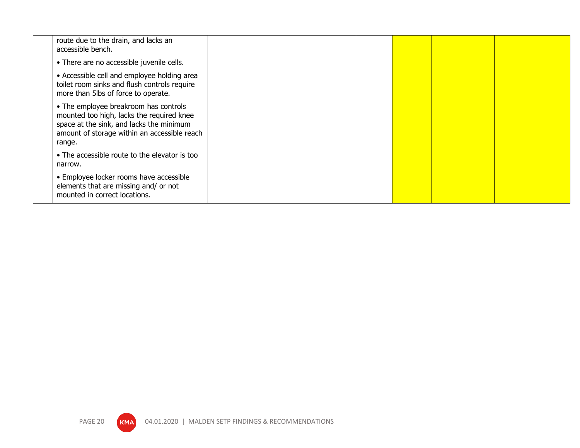| route due to the drain, and lacks an<br>accessible bench.                                                                                                                                |  |  |  |
|------------------------------------------------------------------------------------------------------------------------------------------------------------------------------------------|--|--|--|
| • There are no accessible juvenile cells.                                                                                                                                                |  |  |  |
| • Accessible cell and employee holding area<br>toilet room sinks and flush controls require<br>more than 5lbs of force to operate.                                                       |  |  |  |
| • The employee breakroom has controls<br>mounted too high, lacks the required knee<br>space at the sink, and lacks the minimum<br>amount of storage within an accessible reach<br>range. |  |  |  |
| • The accessible route to the elevator is too<br>narrow.                                                                                                                                 |  |  |  |
| • Employee locker rooms have accessible<br>elements that are missing and/ or not<br>mounted in correct locations.                                                                        |  |  |  |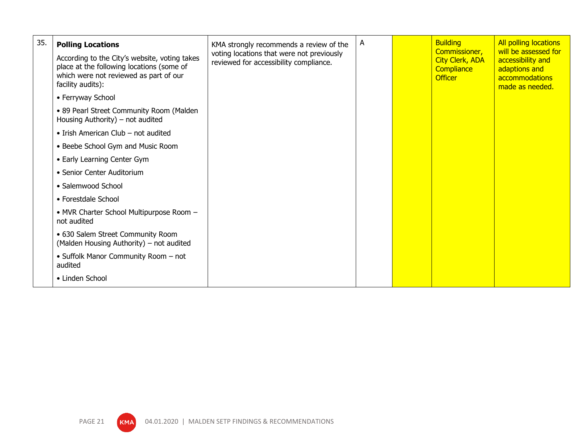| 35. | <b>Polling Locations</b>                                                                                                                                  | KMA strongly recommends a review of the                                             | A | <b>Building</b>                                                         | <b>All polling locations</b>                                                                    |
|-----|-----------------------------------------------------------------------------------------------------------------------------------------------------------|-------------------------------------------------------------------------------------|---|-------------------------------------------------------------------------|-------------------------------------------------------------------------------------------------|
|     | According to the City's website, voting takes<br>place at the following locations (some of<br>which were not reviewed as part of our<br>facility audits): | voting locations that were not previously<br>reviewed for accessibility compliance. |   | Commissioner,<br><b>City Clerk, ADA</b><br>Compliance<br><b>Officer</b> | will be assessed for<br>accessibility and<br>adaptions and<br>accommodations<br>made as needed. |
|     | • Ferryway School                                                                                                                                         |                                                                                     |   |                                                                         |                                                                                                 |
|     | • 89 Pearl Street Community Room (Malden<br>Housing Authority) – not audited                                                                              |                                                                                     |   |                                                                         |                                                                                                 |
|     | • Irish American Club – not audited                                                                                                                       |                                                                                     |   |                                                                         |                                                                                                 |
|     | • Beebe School Gym and Music Room                                                                                                                         |                                                                                     |   |                                                                         |                                                                                                 |
|     | • Early Learning Center Gym                                                                                                                               |                                                                                     |   |                                                                         |                                                                                                 |
|     | • Senior Center Auditorium                                                                                                                                |                                                                                     |   |                                                                         |                                                                                                 |
|     | • Salemwood School                                                                                                                                        |                                                                                     |   |                                                                         |                                                                                                 |
|     | • Forestdale School                                                                                                                                       |                                                                                     |   |                                                                         |                                                                                                 |
|     | • MVR Charter School Multipurpose Room -<br>not audited                                                                                                   |                                                                                     |   |                                                                         |                                                                                                 |
|     | • 630 Salem Street Community Room<br>(Malden Housing Authority) - not audited                                                                             |                                                                                     |   |                                                                         |                                                                                                 |
|     | • Suffolk Manor Community Room - not<br>audited                                                                                                           |                                                                                     |   |                                                                         |                                                                                                 |
|     | • Linden School                                                                                                                                           |                                                                                     |   |                                                                         |                                                                                                 |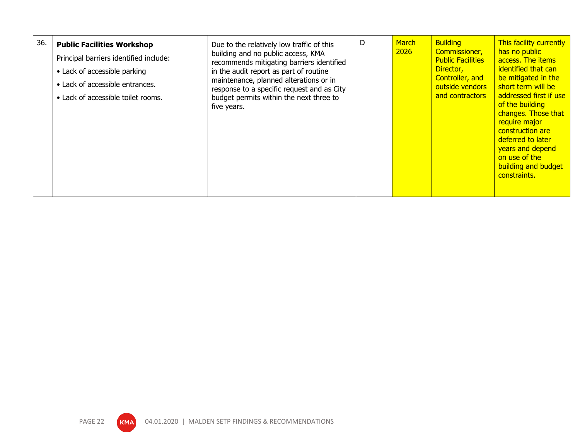| 36. | <b>Public Facilities Workshop</b><br>Principal barriers identified include:<br>• Lack of accessible parking<br>• Lack of accessible entrances.<br>• Lack of accessible toilet rooms. | Due to the relatively low traffic of this<br>building and no public access, KMA<br>recommends mitigating barriers identified<br>in the audit report as part of routine<br>maintenance, planned alterations or in<br>response to a specific request and as City<br>budget permits within the next three to<br>five years. | D | March<br>2026 | <b>Building</b><br>Commissioner,<br><b>Public Facilities</b><br>Director,<br>Controller, and<br>outside vendors<br>and contractors | This facility currently<br>has no public<br>access. The items<br>identified that can<br>be mitigated in the<br>short term will be<br>addressed first if use<br>of the building<br>changes. Those that<br>require major<br>construction are<br>deferred to later<br>years and depend<br>on use of the<br>building and budget<br>constraints. |
|-----|--------------------------------------------------------------------------------------------------------------------------------------------------------------------------------------|--------------------------------------------------------------------------------------------------------------------------------------------------------------------------------------------------------------------------------------------------------------------------------------------------------------------------|---|---------------|------------------------------------------------------------------------------------------------------------------------------------|---------------------------------------------------------------------------------------------------------------------------------------------------------------------------------------------------------------------------------------------------------------------------------------------------------------------------------------------|
|-----|--------------------------------------------------------------------------------------------------------------------------------------------------------------------------------------|--------------------------------------------------------------------------------------------------------------------------------------------------------------------------------------------------------------------------------------------------------------------------------------------------------------------------|---|---------------|------------------------------------------------------------------------------------------------------------------------------------|---------------------------------------------------------------------------------------------------------------------------------------------------------------------------------------------------------------------------------------------------------------------------------------------------------------------------------------------|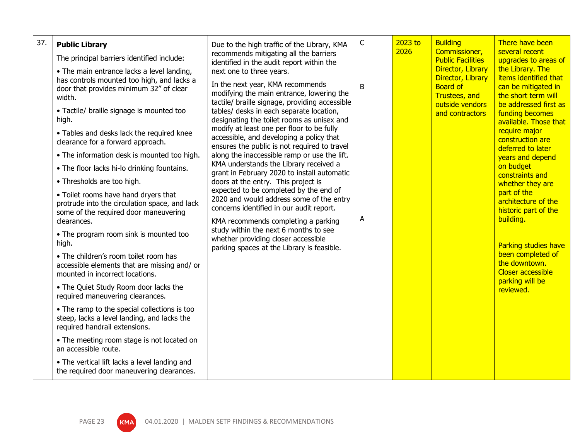| 37. | <b>Public Library</b><br>The principal barriers identified include:<br>• The main entrance lacks a level landing,<br>has controls mounted too high, and lacks a<br>door that provides minimum 32" of clear<br>width.<br>• Tactile/ braille signage is mounted too<br>high.<br>• Tables and desks lack the required knee<br>clearance for a forward approach.<br>• The information desk is mounted too high.<br>• The floor lacks hi-lo drinking fountains.<br>• Thresholds are too high.<br>• Toilet rooms have hand dryers that<br>protrude into the circulation space, and lack<br>some of the required door maneuvering<br>clearances.<br>• The program room sink is mounted too<br>high.<br>• The children's room toilet room has<br>accessible elements that are missing and/ or<br>mounted in incorrect locations.<br>• The Quiet Study Room door lacks the<br>required maneuvering clearances.<br>• The ramp to the special collections is too<br>steep, lacks a level landing, and lacks the<br>required handrail extensions.<br>• The meeting room stage is not located on<br>an accessible route. | Due to the high traffic of the Library, KMA<br>recommends mitigating all the barriers<br>identified in the audit report within the<br>next one to three years.<br>In the next year, KMA recommends<br>modifying the main entrance, lowering the<br>tactile/ braille signage, providing accessible<br>tables/ desks in each separate location,<br>designating the toilet rooms as unisex and<br>modify at least one per floor to be fully<br>accessible, and developing a policy that<br>ensures the public is not required to travel<br>along the inaccessible ramp or use the lift.<br>KMA understands the Library received a<br>grant in February 2020 to install automatic<br>doors at the entry. This project is<br>expected to be completed by the end of<br>2020 and would address some of the entry<br>concerns identified in our audit report.<br>KMA recommends completing a parking<br>study within the next 6 months to see<br>whether providing closer accessible<br>parking spaces at the Library is feasible. | $\mathsf C$<br>B<br>A | 2023 to<br>2026 | <b>Building</b><br>Commissioner,<br><b>Public Facilities</b><br>Director, Library<br>Director, Library<br><b>Board of</b><br><b>Trustees, and</b><br>outside vendors<br>and contractors | There have been<br>several recent<br>upgrades to areas of<br>the Library. The<br>items identified that<br>can be mitigated in<br>the short term will<br>be addressed first as<br><b>funding becomes</b><br>available. Those that<br>require major<br>construction are<br>deferred to later<br>years and depend<br>on budget<br>constraints and<br>whether they are<br>part of the<br>architecture of the<br>historic part of the<br>building.<br>Parking studies have<br>been completed of<br>the downtown.<br><b>Closer accessible</b><br>parking will be<br>reviewed. |
|-----|-------------------------------------------------------------------------------------------------------------------------------------------------------------------------------------------------------------------------------------------------------------------------------------------------------------------------------------------------------------------------------------------------------------------------------------------------------------------------------------------------------------------------------------------------------------------------------------------------------------------------------------------------------------------------------------------------------------------------------------------------------------------------------------------------------------------------------------------------------------------------------------------------------------------------------------------------------------------------------------------------------------------------------------------------------------------------------------------------------------|-----------------------------------------------------------------------------------------------------------------------------------------------------------------------------------------------------------------------------------------------------------------------------------------------------------------------------------------------------------------------------------------------------------------------------------------------------------------------------------------------------------------------------------------------------------------------------------------------------------------------------------------------------------------------------------------------------------------------------------------------------------------------------------------------------------------------------------------------------------------------------------------------------------------------------------------------------------------------------------------------------------------------------|-----------------------|-----------------|-----------------------------------------------------------------------------------------------------------------------------------------------------------------------------------------|-------------------------------------------------------------------------------------------------------------------------------------------------------------------------------------------------------------------------------------------------------------------------------------------------------------------------------------------------------------------------------------------------------------------------------------------------------------------------------------------------------------------------------------------------------------------------|
|     | • The vertical lift lacks a level landing and<br>the required door maneuvering clearances.                                                                                                                                                                                                                                                                                                                                                                                                                                                                                                                                                                                                                                                                                                                                                                                                                                                                                                                                                                                                                  |                                                                                                                                                                                                                                                                                                                                                                                                                                                                                                                                                                                                                                                                                                                                                                                                                                                                                                                                                                                                                             |                       |                 |                                                                                                                                                                                         |                                                                                                                                                                                                                                                                                                                                                                                                                                                                                                                                                                         |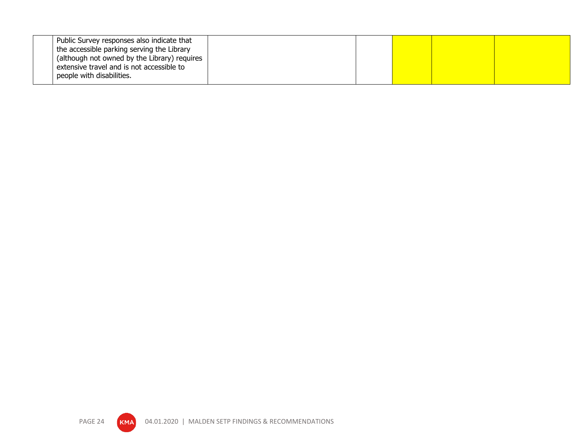| the accessible parking serving the Library<br>(although not owned by the Library) requires<br>extensive travel and is not accessible to<br>people with disabilities. |  |  |  |
|----------------------------------------------------------------------------------------------------------------------------------------------------------------------|--|--|--|
|----------------------------------------------------------------------------------------------------------------------------------------------------------------------|--|--|--|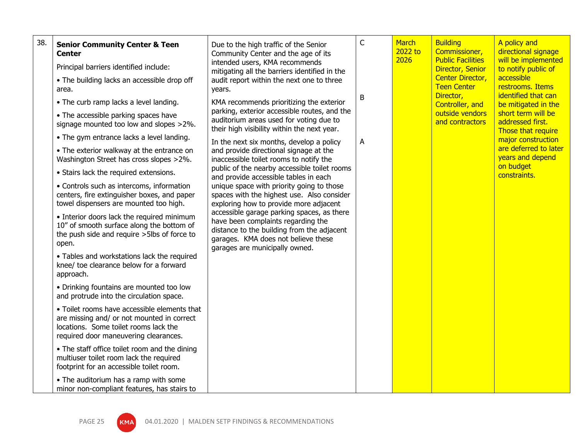| 38. | <b>Senior Community Center &amp; Teen</b><br><b>Center</b><br>Principal barriers identified include:<br>• The building lacks an accessible drop off<br>area.                 | Due to the high traffic of the Senior<br>Community Center and the age of its<br>intended users, KMA recommends<br>mitigating all the barriers identified in the<br>audit report within the next one to three<br>years.                                                                                                                                                                                                                | $\mathsf C$<br>B | <b>March</b><br>2022 to<br>2026 | <b>Building</b><br>Commissioner,<br><b>Public Facilities</b><br>Director, Senior<br><b>Center Director,</b><br><b>Teen Center</b><br>Director, | A policy and<br>directional signage<br>will be implemented<br>to notify public of<br>accessible<br>restrooms. Items<br>identified that can |  |
|-----|------------------------------------------------------------------------------------------------------------------------------------------------------------------------------|---------------------------------------------------------------------------------------------------------------------------------------------------------------------------------------------------------------------------------------------------------------------------------------------------------------------------------------------------------------------------------------------------------------------------------------|------------------|---------------------------------|------------------------------------------------------------------------------------------------------------------------------------------------|--------------------------------------------------------------------------------------------------------------------------------------------|--|
|     | • The curb ramp lacks a level landing.<br>• The accessible parking spaces have<br>signage mounted too low and slopes >2%.                                                    | KMA recommends prioritizing the exterior<br>parking, exterior accessible routes, and the<br>auditorium areas used for voting due to<br>their high visibility within the next year.                                                                                                                                                                                                                                                    |                  |                                 | Controller, and<br>outside vendors<br>and contractors                                                                                          | be mitigated in the<br>short term will be<br>addressed first.<br>Those that require                                                        |  |
|     | • The gym entrance lacks a level landing.<br>• The exterior walkway at the entrance on<br>Washington Street has cross slopes >2%.                                            | In the next six months, develop a policy<br>and provide directional signage at the<br>inaccessible toilet rooms to notify the                                                                                                                                                                                                                                                                                                         | A                |                                 |                                                                                                                                                | major construction<br>are deferred to later<br>years and depend<br>on budget                                                               |  |
|     | • Stairs lack the required extensions.<br>• Controls such as intercoms, information<br>centers, fire extinguisher boxes, and paper<br>towel dispensers are mounted too high. | public of the nearby accessible toilet rooms<br>and provide accessible tables in each<br>unique space with priority going to those<br>spaces with the highest use. Also consider<br>exploring how to provide more adjacent<br>accessible garage parking spaces, as there<br>have been complaints regarding the<br>distance to the building from the adjacent<br>garages. KMA does not believe these<br>garages are municipally owned. |                  |                                 |                                                                                                                                                | constraints.                                                                                                                               |  |
|     | • Interior doors lack the required minimum<br>10" of smooth surface along the bottom of<br>the push side and require > 5lbs of force to<br>open.                             |                                                                                                                                                                                                                                                                                                                                                                                                                                       |                  |                                 |                                                                                                                                                |                                                                                                                                            |  |
|     | • Tables and workstations lack the required<br>knee/ toe clearance below for a forward<br>approach.                                                                          |                                                                                                                                                                                                                                                                                                                                                                                                                                       |                  |                                 |                                                                                                                                                |                                                                                                                                            |  |
|     | • Drinking fountains are mounted too low<br>and protrude into the circulation space.                                                                                         |                                                                                                                                                                                                                                                                                                                                                                                                                                       |                  |                                 |                                                                                                                                                |                                                                                                                                            |  |
|     | • Toilet rooms have accessible elements that<br>are missing and/ or not mounted in correct<br>locations. Some toilet rooms lack the<br>required door maneuvering clearances. |                                                                                                                                                                                                                                                                                                                                                                                                                                       |                  |                                 |                                                                                                                                                |                                                                                                                                            |  |
|     | • The staff office toilet room and the dining<br>multiuser toilet room lack the required<br>footprint for an accessible toilet room.                                         |                                                                                                                                                                                                                                                                                                                                                                                                                                       |                  |                                 |                                                                                                                                                |                                                                                                                                            |  |
|     | • The auditorium has a ramp with some<br>minor non-compliant features, has stairs to                                                                                         |                                                                                                                                                                                                                                                                                                                                                                                                                                       |                  |                                 |                                                                                                                                                |                                                                                                                                            |  |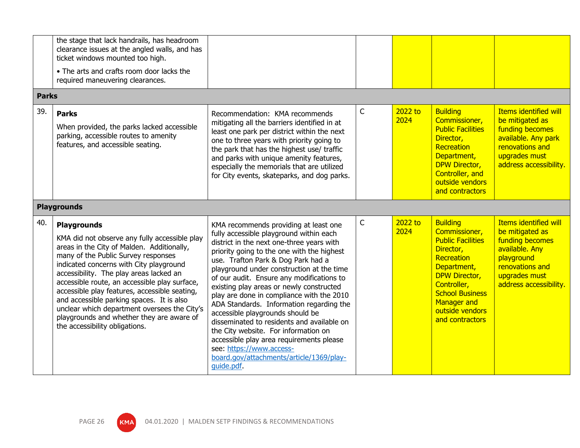|                     | the stage that lack handrails, has headroom<br>clearance issues at the angled walls, and has<br>ticket windows mounted too high.<br>• The arts and crafts room door lacks the<br>required maneuvering clearances.                                                                                                                                                                                                                                                                                                            |                                                                                                                                                                                                                                                                                                                                                                                                                                                                                                                                                                                                                                                                                                              |   |                 |                                                                                                                                                                                                                                     |                                                                                                                                                                  |
|---------------------|------------------------------------------------------------------------------------------------------------------------------------------------------------------------------------------------------------------------------------------------------------------------------------------------------------------------------------------------------------------------------------------------------------------------------------------------------------------------------------------------------------------------------|--------------------------------------------------------------------------------------------------------------------------------------------------------------------------------------------------------------------------------------------------------------------------------------------------------------------------------------------------------------------------------------------------------------------------------------------------------------------------------------------------------------------------------------------------------------------------------------------------------------------------------------------------------------------------------------------------------------|---|-----------------|-------------------------------------------------------------------------------------------------------------------------------------------------------------------------------------------------------------------------------------|------------------------------------------------------------------------------------------------------------------------------------------------------------------|
| <b>Parks</b><br>39. | <b>Parks</b><br>When provided, the parks lacked accessible<br>parking, accessible routes to amenity<br>features, and accessible seating.                                                                                                                                                                                                                                                                                                                                                                                     | Recommendation: KMA recommends<br>mitigating all the barriers identified in at<br>least one park per district within the next<br>one to three years with priority going to<br>the park that has the highest use/ traffic<br>and parks with unique amenity features,<br>especially the memorials that are utilized<br>for City events, skateparks, and dog parks.                                                                                                                                                                                                                                                                                                                                             | C | 2022 to<br>2024 | <b>Building</b><br>Commissioner,<br><b>Public Facilities</b><br>Director,<br>Recreation<br>Department,<br><b>DPW Director,</b><br>Controller, and<br>outside vendors<br>and contractors                                             | <b>Items identified will</b><br>be mitigated as<br>funding becomes<br>available. Any park<br>renovations and<br>upgrades must<br>address accessibility.          |
|                     | <b>Playgrounds</b>                                                                                                                                                                                                                                                                                                                                                                                                                                                                                                           |                                                                                                                                                                                                                                                                                                                                                                                                                                                                                                                                                                                                                                                                                                              |   |                 |                                                                                                                                                                                                                                     |                                                                                                                                                                  |
| 40.                 | <b>Playgrounds</b><br>KMA did not observe any fully accessible play<br>areas in the City of Malden. Additionally,<br>many of the Public Survey responses<br>indicated concerns with City playground<br>accessibility. The play areas lacked an<br>accessible route, an accessible play surface,<br>accessible play features, accessible seating,<br>and accessible parking spaces. It is also<br>unclear which department oversees the City's<br>playgrounds and whether they are aware of<br>the accessibility obligations. | KMA recommends providing at least one<br>fully accessible playground within each<br>district in the next one-three years with<br>priority going to the one with the highest<br>use. Trafton Park & Dog Park had a<br>playground under construction at the time<br>of our audit. Ensure any modifications to<br>existing play areas or newly constructed<br>play are done in compliance with the 2010<br>ADA Standards. Information regarding the<br>accessible playgrounds should be<br>disseminated to residents and available on<br>the City website. For information on<br>accessible play area requirements please<br>see: https://www.access-<br>board.gov/attachments/article/1369/play-<br>quide.pdf. | C | 2022 to<br>2024 | <b>Building</b><br>Commissioner,<br><b>Public Facilities</b><br>Director,<br>Recreation<br>Department,<br><b>DPW Director,</b><br>Controller,<br><b>School Business</b><br><b>Manager and</b><br>outside vendors<br>and contractors | <b>Items identified will</b><br>be mitigated as<br>funding becomes<br>available. Any<br>playground<br>renovations and<br>upgrades must<br>address accessibility. |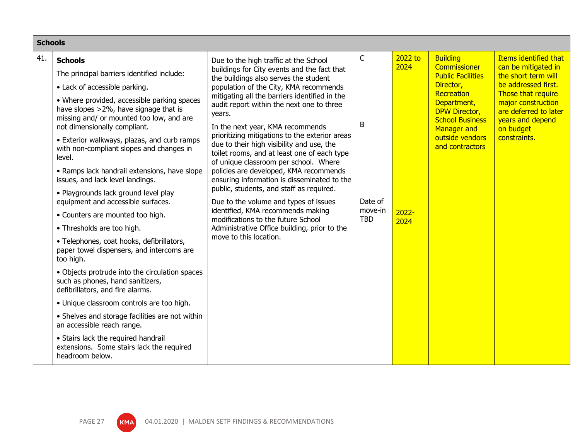| <b>Schools</b> |                                                                                                                                                                  |                                                                                                                                                                                                                                                                                                                                                                                                                                                                                                                                                                                                                                                                                                                   |                                  |                  |                                                                                                                                               |                                                                                                                                           |
|----------------|------------------------------------------------------------------------------------------------------------------------------------------------------------------|-------------------------------------------------------------------------------------------------------------------------------------------------------------------------------------------------------------------------------------------------------------------------------------------------------------------------------------------------------------------------------------------------------------------------------------------------------------------------------------------------------------------------------------------------------------------------------------------------------------------------------------------------------------------------------------------------------------------|----------------------------------|------------------|-----------------------------------------------------------------------------------------------------------------------------------------------|-------------------------------------------------------------------------------------------------------------------------------------------|
| 41.            | <b>Schools</b>                                                                                                                                                   | Due to the high traffic at the School                                                                                                                                                                                                                                                                                                                                                                                                                                                                                                                                                                                                                                                                             | $\mathsf C$                      | 2022 to          | <b>Building</b>                                                                                                                               | Items identified that                                                                                                                     |
|                | The principal barriers identified include:                                                                                                                       | buildings for City events and the fact that<br>the buildings also serves the student                                                                                                                                                                                                                                                                                                                                                                                                                                                                                                                                                                                                                              |                                  | 2024             | <b>Commissioner</b><br><b>Public Facilities</b>                                                                                               | can be mitigated in<br>the short term will                                                                                                |
|                | • Lack of accessible parking.                                                                                                                                    | population of the City, KMA recommends<br>mitigating all the barriers identified in the<br>audit report within the next one to three<br>years.<br>B<br>In the next year, KMA recommends<br>prioritizing mitigations to the exterior areas<br>due to their high visibility and use, the<br>toilet rooms, and at least one of each type<br>of unique classroom per school. Where<br>policies are developed, KMA recommends<br>ensuring information is disseminated to the<br>public, students, and staff as required.<br>Due to the volume and types of issues<br>identified, KMA recommends making<br>modifications to the future School<br>Administrative Office building, prior to the<br>move to this location. | Date of<br>move-in<br><b>TBD</b> | $2022 -$<br>2024 | Director,<br>Recreation<br>Department,<br><b>DPW Director,</b><br><b>School Business</b><br>Manager and<br>outside vendors<br>and contractors | be addressed first.<br>Those that require<br>major construction<br>are deferred to later<br>years and depend<br>on budget<br>constraints. |
|                | • Where provided, accessible parking spaces<br>have slopes >2%, have signage that is<br>missing and/ or mounted too low, and are<br>not dimensionally compliant. |                                                                                                                                                                                                                                                                                                                                                                                                                                                                                                                                                                                                                                                                                                                   |                                  |                  |                                                                                                                                               |                                                                                                                                           |
|                | • Exterior walkways, plazas, and curb ramps<br>with non-compliant slopes and changes in<br>level.                                                                |                                                                                                                                                                                                                                                                                                                                                                                                                                                                                                                                                                                                                                                                                                                   |                                  |                  |                                                                                                                                               |                                                                                                                                           |
|                | • Ramps lack handrail extensions, have slope<br>issues, and lack level landings.                                                                                 |                                                                                                                                                                                                                                                                                                                                                                                                                                                                                                                                                                                                                                                                                                                   |                                  |                  |                                                                                                                                               |                                                                                                                                           |
|                | • Playgrounds lack ground level play<br>equipment and accessible surfaces.                                                                                       |                                                                                                                                                                                                                                                                                                                                                                                                                                                                                                                                                                                                                                                                                                                   |                                  |                  |                                                                                                                                               |                                                                                                                                           |
|                | • Counters are mounted too high.                                                                                                                                 |                                                                                                                                                                                                                                                                                                                                                                                                                                                                                                                                                                                                                                                                                                                   |                                  |                  |                                                                                                                                               |                                                                                                                                           |
|                | • Thresholds are too high.                                                                                                                                       |                                                                                                                                                                                                                                                                                                                                                                                                                                                                                                                                                                                                                                                                                                                   |                                  |                  |                                                                                                                                               |                                                                                                                                           |
|                | · Telephones, coat hooks, defibrillators,<br>paper towel dispensers, and intercoms are<br>too high.                                                              |                                                                                                                                                                                                                                                                                                                                                                                                                                                                                                                                                                                                                                                                                                                   |                                  |                  |                                                                                                                                               |                                                                                                                                           |
|                | • Objects protrude into the circulation spaces<br>such as phones, hand sanitizers,<br>defibrillators, and fire alarms.                                           |                                                                                                                                                                                                                                                                                                                                                                                                                                                                                                                                                                                                                                                                                                                   |                                  |                  |                                                                                                                                               |                                                                                                                                           |
|                | • Unique classroom controls are too high.                                                                                                                        |                                                                                                                                                                                                                                                                                                                                                                                                                                                                                                                                                                                                                                                                                                                   |                                  |                  |                                                                                                                                               |                                                                                                                                           |
|                | • Shelves and storage facilities are not within<br>an accessible reach range.                                                                                    |                                                                                                                                                                                                                                                                                                                                                                                                                                                                                                                                                                                                                                                                                                                   |                                  |                  |                                                                                                                                               |                                                                                                                                           |
|                | • Stairs lack the required handrail<br>extensions. Some stairs lack the required<br>headroom below.                                                              |                                                                                                                                                                                                                                                                                                                                                                                                                                                                                                                                                                                                                                                                                                                   |                                  |                  |                                                                                                                                               |                                                                                                                                           |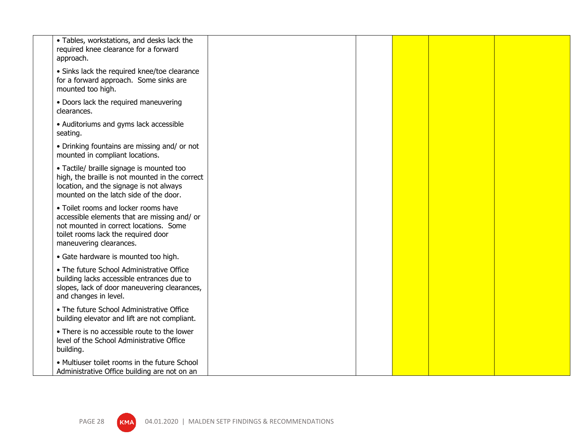| • Tables, workstations, and desks lack the<br>required knee clearance for a forward<br>approach.                                                                                                 |  |  |  |
|--------------------------------------------------------------------------------------------------------------------------------------------------------------------------------------------------|--|--|--|
| • Sinks lack the required knee/toe clearance<br>for a forward approach. Some sinks are<br>mounted too high.                                                                                      |  |  |  |
| • Doors lack the required maneuvering<br>clearances.                                                                                                                                             |  |  |  |
| • Auditoriums and gyms lack accessible<br>seating.                                                                                                                                               |  |  |  |
| • Drinking fountains are missing and/ or not<br>mounted in compliant locations.                                                                                                                  |  |  |  |
| • Tactile/ braille signage is mounted too<br>high, the braille is not mounted in the correct<br>location, and the signage is not always<br>mounted on the latch side of the door.                |  |  |  |
| • Toilet rooms and locker rooms have<br>accessible elements that are missing and/ or<br>not mounted in correct locations. Some<br>toilet rooms lack the required door<br>maneuvering clearances. |  |  |  |
| • Gate hardware is mounted too high.                                                                                                                                                             |  |  |  |
| • The future School Administrative Office<br>building lacks accessible entrances due to<br>slopes, lack of door maneuvering clearances,<br>and changes in level.                                 |  |  |  |
| • The future School Administrative Office<br>building elevator and lift are not compliant.                                                                                                       |  |  |  |
| • There is no accessible route to the lower<br>level of the School Administrative Office<br>building.                                                                                            |  |  |  |
| • Multiuser toilet rooms in the future School<br>Administrative Office building are not on an                                                                                                    |  |  |  |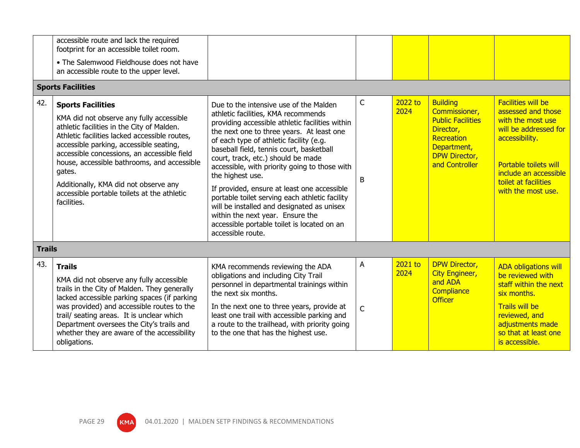|     | accessible route and lack the required<br>footprint for an accessible toilet room.<br>• The Salemwood Fieldhouse does not have<br>an accessible route to the upper level.                                                                                                                                                                                                                                                     |                                                                                                                                                                                                                                                                                                                                                                                                                                                                                                                                                                                                                                        |                     |                 |                                                                                                                                                  |                                                                                                                                                                                                                 |  |
|-----|-------------------------------------------------------------------------------------------------------------------------------------------------------------------------------------------------------------------------------------------------------------------------------------------------------------------------------------------------------------------------------------------------------------------------------|----------------------------------------------------------------------------------------------------------------------------------------------------------------------------------------------------------------------------------------------------------------------------------------------------------------------------------------------------------------------------------------------------------------------------------------------------------------------------------------------------------------------------------------------------------------------------------------------------------------------------------------|---------------------|-----------------|--------------------------------------------------------------------------------------------------------------------------------------------------|-----------------------------------------------------------------------------------------------------------------------------------------------------------------------------------------------------------------|--|
|     | <b>Sports Facilities</b>                                                                                                                                                                                                                                                                                                                                                                                                      |                                                                                                                                                                                                                                                                                                                                                                                                                                                                                                                                                                                                                                        |                     |                 |                                                                                                                                                  |                                                                                                                                                                                                                 |  |
| 42. | <b>Sports Facilities</b><br>KMA did not observe any fully accessible<br>athletic facilities in the City of Malden.<br>Athletic facilities lacked accessible routes,<br>accessible parking, accessible seating,<br>accessible concessions, an accessible field<br>house, accessible bathrooms, and accessible<br>gates.<br>Additionally, KMA did not observe any<br>accessible portable toilets at the athletic<br>facilities. | Due to the intensive use of the Malden<br>athletic facilities, KMA recommends<br>providing accessible athletic facilities within<br>the next one to three years. At least one<br>of each type of athletic facility (e.g.<br>baseball field, tennis court, basketball<br>court, track, etc.) should be made<br>accessible, with priority going to those with<br>the highest use.<br>If provided, ensure at least one accessible<br>portable toilet serving each athletic facility<br>will be installed and designated as unisex<br>within the next year. Ensure the<br>accessible portable toilet is located on an<br>accessible route. | $\mathsf{C}$<br>B   | 2022 to<br>2024 | <b>Building</b><br>Commissioner,<br><b>Public Facilities</b><br>Director,<br>Recreation<br>Department,<br><b>DPW Director,</b><br>and Controller | <b>Facilities will be</b><br>assessed and those<br>with the most use<br>will be addressed for<br>accessibility.<br>Portable toilets will<br>include an accessible<br>toilet at facilities<br>with the most use. |  |
|     | <b>Trails</b>                                                                                                                                                                                                                                                                                                                                                                                                                 |                                                                                                                                                                                                                                                                                                                                                                                                                                                                                                                                                                                                                                        |                     |                 |                                                                                                                                                  |                                                                                                                                                                                                                 |  |
| 43. | <b>Trails</b><br>KMA did not observe any fully accessible<br>trails in the City of Malden. They generally<br>lacked accessible parking spaces (if parking<br>was provided) and accessible routes to the<br>trail/ seating areas. It is unclear which<br>Department oversees the City's trails and<br>whether they are aware of the accessibility<br>obligations.                                                              | KMA recommends reviewing the ADA<br>obligations and including City Trail<br>personnel in departmental trainings within<br>the next six months.<br>In the next one to three years, provide at<br>least one trail with accessible parking and<br>a route to the trailhead, with priority going<br>to the one that has the highest use.                                                                                                                                                                                                                                                                                                   | A<br>$\overline{C}$ | 2021 to<br>2024 | <b>DPW Director,</b><br><b>City Engineer,</b><br>and ADA<br>Compliance<br><b>Officer</b>                                                         | <b>ADA obligations will</b><br>be reviewed with<br>staff within the next<br>six months.<br><b>Trails will be</b><br>reviewed, and<br>adjustments made<br>so that at least one<br>is accessible.                 |  |